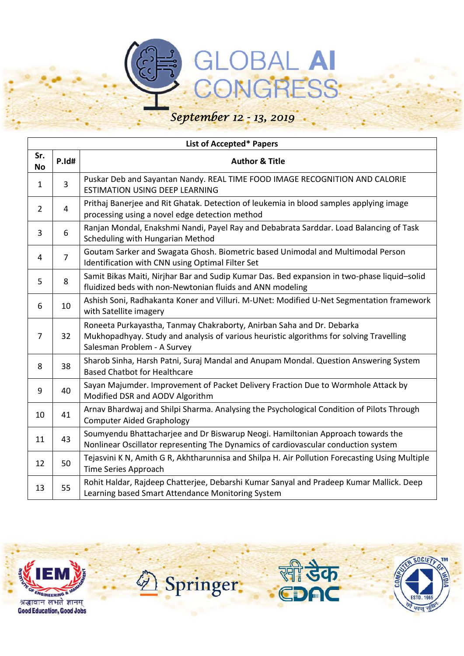### GLOBAL AI CONGRESS *September 12 - 13, 2019*

#### **List of Accepted\* Papers No P.Id# Author & Title**  $\begin{array}{c|c} 1 & 3 \end{array}$  Puskar Deb and Sayantan Nandy. REAL TIME FOOD IMAGE RECOGNITION AND CALORIE ESTIMATION USING DEEP LEARNING 2 4 Prithaj Banerjee and Rit Ghatak. Detection of leukemia in blood samples applying image processing using a novel edge detection method 3 6 Ranjan Mondal, Enakshmi Nandi, Payel Ray and Debabrata Sarddar. Load Balancing of Task Scheduling with Hungarian Method <sup>4</sup> <sup>7</sup> Goutam Sarker and Swagata Ghosh. Biometric based Unimodal and Multimodal Person

| 4  | 7  | Identification with CNN using Optimal Filter Set                                                                                                                                                |
|----|----|-------------------------------------------------------------------------------------------------------------------------------------------------------------------------------------------------|
| 5  | 8  | Samit Bikas Maiti, Nirjhar Bar and Sudip Kumar Das. Bed expansion in two-phase liquid-solid<br>fluidized beds with non-Newtonian fluids and ANN modeling                                        |
| 6  | 10 | Ashish Soni, Radhakanta Koner and Villuri. M-UNet: Modified U-Net Segmentation framework<br>with Satellite imagery                                                                              |
| 7  | 32 | Roneeta Purkayastha, Tanmay Chakraborty, Anirban Saha and Dr. Debarka<br>Mukhopadhyay. Study and analysis of various heuristic algorithms for solving Travelling<br>Salesman Problem - A Survey |
| 8  | 38 | Sharob Sinha, Harsh Patni, Suraj Mandal and Anupam Mondal. Question Answering System<br><b>Based Chatbot for Healthcare</b>                                                                     |
| 9  | 40 | Sayan Majumder. Improvement of Packet Delivery Fraction Due to Wormhole Attack by<br>Modified DSR and AODV Algorithm                                                                            |
| 10 | 41 | Arnav Bhardwaj and Shilpi Sharma. Analysing the Psychological Condition of Pilots Through<br><b>Computer Aided Graphology</b>                                                                   |
| 11 | 43 | Soumyendu Bhattacharjee and Dr Biswarup Neogi. Hamiltonian Approach towards the<br>Nonlinear Oscillator representing The Dynamics of cardiovascular conduction system                           |
| 12 | 50 | Tejasvini K N, Amith G R, Akhtharunnisa and Shilpa H. Air Pollution Forecasting Using Multiple<br>Time Series Approach                                                                          |
| 13 | 55 | Rohit Haldar, Rajdeep Chatterjee, Debarshi Kumar Sanyal and Pradeep Kumar Mallick. Deep<br>Learning based Smart Attendance Monitoring System                                                    |



**Sr.** 





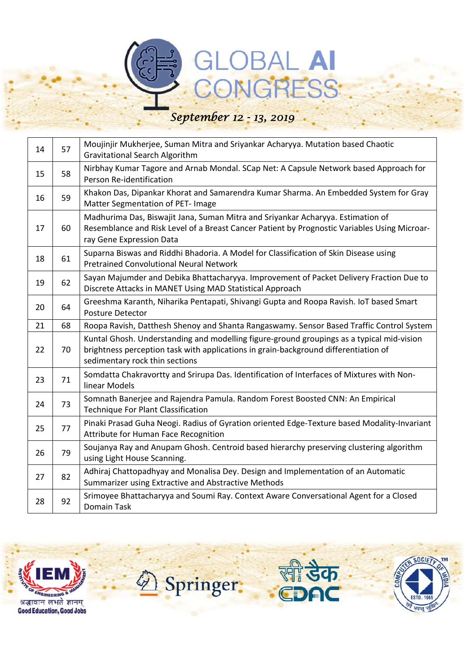## GLOBAL AI

| 14 | 57 | Moujinjir Mukherjee, Suman Mitra and Sriyankar Acharyya. Mutation based Chaotic<br><b>Gravitational Search Algorithm</b>                                                                                           |
|----|----|--------------------------------------------------------------------------------------------------------------------------------------------------------------------------------------------------------------------|
| 15 | 58 | Nirbhay Kumar Tagore and Arnab Mondal. SCap Net: A Capsule Network based Approach for<br>Person Re-identification                                                                                                  |
| 16 | 59 | Khakon Das, Dipankar Khorat and Samarendra Kumar Sharma. An Embedded System for Gray<br>Matter Segmentation of PET- Image                                                                                          |
| 17 | 60 | Madhurima Das, Biswajit Jana, Suman Mitra and Sriyankar Acharyya. Estimation of<br>Resemblance and Risk Level of a Breast Cancer Patient by Prognostic Variables Using Microar-<br>ray Gene Expression Data        |
| 18 | 61 | Suparna Biswas and Riddhi Bhadoria. A Model for Classification of Skin Disease using<br><b>Pretrained Convolutional Neural Network</b>                                                                             |
| 19 | 62 | Sayan Majumder and Debika Bhattacharyya. Improvement of Packet Delivery Fraction Due to<br>Discrete Attacks in MANET Using MAD Statistical Approach                                                                |
| 20 | 64 | Greeshma Karanth, Niharika Pentapati, Shivangi Gupta and Roopa Ravish. IoT based Smart<br>Posture Detector                                                                                                         |
| 21 | 68 | Roopa Ravish, Datthesh Shenoy and Shanta Rangaswamy. Sensor Based Traffic Control System                                                                                                                           |
| 22 | 70 | Kuntal Ghosh. Understanding and modelling figure-ground groupings as a typical mid-vision<br>brightness perception task with applications in grain-background differentiation of<br>sedimentary rock thin sections |
| 23 | 71 | Somdatta Chakravortty and Srirupa Das. Identification of Interfaces of Mixtures with Non-<br>linear Models                                                                                                         |
| 24 | 73 | Somnath Banerjee and Rajendra Pamula. Random Forest Boosted CNN: An Empirical<br><b>Technique For Plant Classification</b>                                                                                         |
| 25 | 77 | Pinaki Prasad Guha Neogi. Radius of Gyration oriented Edge-Texture based Modality-Invariant<br>Attribute for Human Face Recognition                                                                                |
| 26 | 79 | Soujanya Ray and Anupam Ghosh. Centroid based hierarchy preserving clustering algorithm<br>using Light House Scanning.                                                                                             |
| 27 | 82 | Adhiraj Chattopadhyay and Monalisa Dey. Design and Implementation of an Automatic<br>Summarizer using Extractive and Abstractive Methods                                                                           |
| 28 | 92 | Srimoyee Bhattacharyya and Soumi Ray. Context Aware Conversational Agent for a Closed<br>Domain Task                                                                                                               |







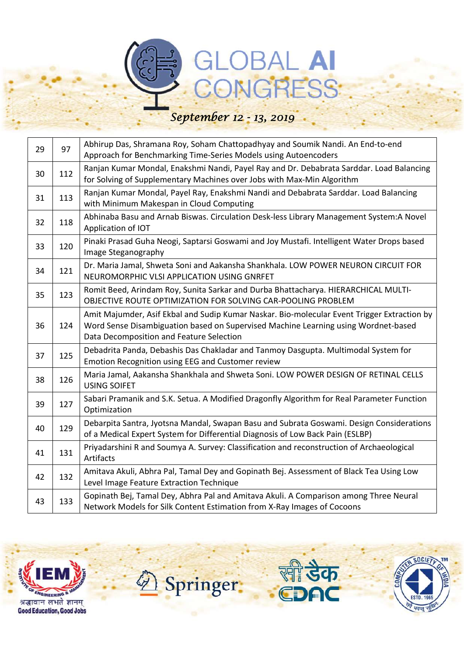### GLOBAL AI

| 29 | 97  | Abhirup Das, Shramana Roy, Soham Chattopadhyay and Soumik Nandi. An End-to-end<br>Approach for Benchmarking Time-Series Models using Autoencoders                                                                             |
|----|-----|-------------------------------------------------------------------------------------------------------------------------------------------------------------------------------------------------------------------------------|
| 30 | 112 | Ranjan Kumar Mondal, Enakshmi Nandi, Payel Ray and Dr. Debabrata Sarddar. Load Balancing<br>for Solving of Supplementary Machines over Jobs with Max-Min Algorithm                                                            |
| 31 | 113 | Ranjan Kumar Mondal, Payel Ray, Enakshmi Nandi and Debabrata Sarddar. Load Balancing<br>with Minimum Makespan in Cloud Computing                                                                                              |
| 32 | 118 | Abhinaba Basu and Arnab Biswas. Circulation Desk-less Library Management System:A Novel<br>Application of IOT                                                                                                                 |
| 33 | 120 | Pinaki Prasad Guha Neogi, Saptarsi Goswami and Joy Mustafi. Intelligent Water Drops based<br>Image Steganography                                                                                                              |
| 34 | 121 | Dr. Maria Jamal, Shweta Soni and Aakansha Shankhala. LOW POWER NEURON CIRCUIT FOR<br>NEUROMORPHIC VLSI APPLICATION USING GNRFET                                                                                               |
| 35 | 123 | Romit Beed, Arindam Roy, Sunita Sarkar and Durba Bhattacharya. HIERARCHICAL MULTI-<br>OBJECTIVE ROUTE OPTIMIZATION FOR SOLVING CAR-POOLING PROBLEM                                                                            |
| 36 | 124 | Amit Majumder, Asif Ekbal and Sudip Kumar Naskar. Bio-molecular Event Trigger Extraction by<br>Word Sense Disambiguation based on Supervised Machine Learning using Wordnet-based<br>Data Decomposition and Feature Selection |
| 37 | 125 | Debadrita Panda, Debashis Das Chakladar and Tanmoy Dasgupta. Multimodal System for<br>Emotion Recognition using EEG and Customer review                                                                                       |
| 38 | 126 | Maria Jamal, Aakansha Shankhala and Shweta Soni. LOW POWER DESIGN OF RETINAL CELLS<br><b>USING SOIFET</b>                                                                                                                     |
| 39 | 127 | Sabari Pramanik and S.K. Setua. A Modified Dragonfly Algorithm for Real Parameter Function<br>Optimization                                                                                                                    |
| 40 | 129 | Debarpita Santra, Jyotsna Mandal, Swapan Basu and Subrata Goswami. Design Considerations<br>of a Medical Expert System for Differential Diagnosis of Low Back Pain (ESLBP)                                                    |
| 41 | 131 | Priyadarshini R and Soumya A. Survey: Classification and reconstruction of Archaeological<br>Artifacts                                                                                                                        |
| 42 | 132 | Amitava Akuli, Abhra Pal, Tamal Dey and Gopinath Bej. Assessment of Black Tea Using Low<br>Level Image Feature Extraction Technique                                                                                           |
| 43 | 133 | Gopinath Bej, Tamal Dey, Abhra Pal and Amitava Akuli. A Comparison among Three Neural<br>Network Models for Silk Content Estimation from X-Ray Images of Cocoons                                                              |







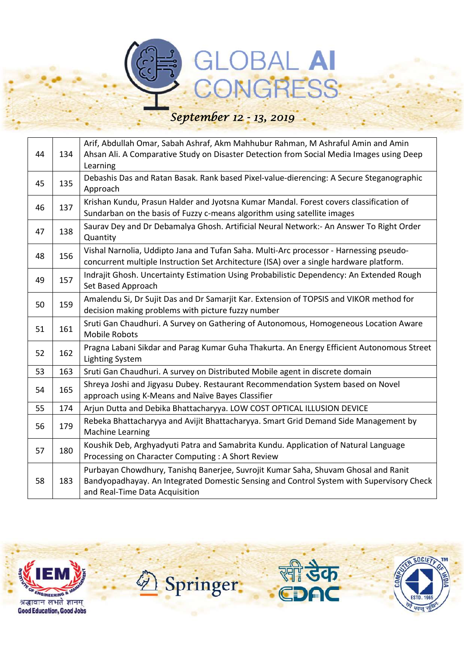## GLOBAL AI

| 44 | 134 | Arif, Abdullah Omar, Sabah Ashraf, Akm Mahhubur Rahman, M Ashraful Amin and Amin<br>Ahsan Ali. A Comparative Study on Disaster Detection from Social Media Images using Deep<br>Learning                         |
|----|-----|------------------------------------------------------------------------------------------------------------------------------------------------------------------------------------------------------------------|
| 45 | 135 | Debashis Das and Ratan Basak. Rank based Pixel-value-dierencing: A Secure Steganographic<br>Approach                                                                                                             |
| 46 | 137 | Krishan Kundu, Prasun Halder and Jyotsna Kumar Mandal. Forest covers classification of<br>Sundarban on the basis of Fuzzy c-means algorithm using satellite images                                               |
| 47 | 138 | Saurav Dey and Dr Debamalya Ghosh. Artificial Neural Network:- An Answer To Right Order<br>Quantity                                                                                                              |
| 48 | 156 | Vishal Narnolia, Uddipto Jana and Tufan Saha. Multi-Arc processor - Harnessing pseudo-<br>concurrent multiple Instruction Set Architecture (ISA) over a single hardware platform.                                |
| 49 | 157 | Indrajit Ghosh. Uncertainty Estimation Using Probabilistic Dependency: An Extended Rough<br>Set Based Approach                                                                                                   |
| 50 | 159 | Amalendu Si, Dr Sujit Das and Dr Samarjit Kar. Extension of TOPSIS and VIKOR method for<br>decision making problems with picture fuzzy number                                                                    |
| 51 | 161 | Sruti Gan Chaudhuri. A Survey on Gathering of Autonomous, Homogeneous Location Aware<br><b>Mobile Robots</b>                                                                                                     |
| 52 | 162 | Pragna Labani Sikdar and Parag Kumar Guha Thakurta. An Energy Efficient Autonomous Street<br><b>Lighting System</b>                                                                                              |
| 53 | 163 | Sruti Gan Chaudhuri. A survey on Distributed Mobile agent in discrete domain                                                                                                                                     |
| 54 | 165 | Shreya Joshi and Jigyasu Dubey. Restaurant Recommendation System based on Novel<br>approach using K-Means and Naïve Bayes Classifier                                                                             |
| 55 | 174 | Arjun Dutta and Debika Bhattacharyya. LOW COST OPTICAL ILLUSION DEVICE                                                                                                                                           |
| 56 | 179 | Rebeka Bhattacharyya and Avijit Bhattacharyya. Smart Grid Demand Side Management by<br><b>Machine Learning</b>                                                                                                   |
| 57 | 180 | Koushik Deb, Arghyadyuti Patra and Samabrita Kundu. Application of Natural Language<br>Processing on Character Computing : A Short Review                                                                        |
| 58 | 183 | Purbayan Chowdhury, Tanishq Banerjee, Suvrojit Kumar Saha, Shuvam Ghosal and Ranit<br>Bandyopadhayay. An Integrated Domestic Sensing and Control System with Supervisory Check<br>and Real-Time Data Acquisition |